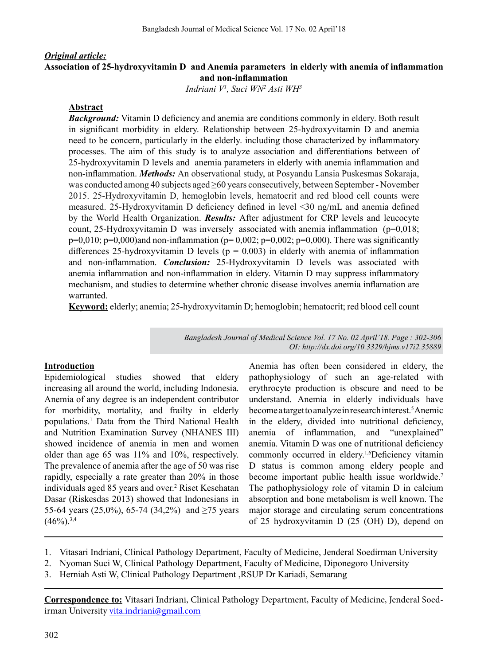# *Original article:* **Association of 25-hydroxyvitamin D and Anemia parameters in elderly with anemia of inflammation and non-inflammation**

*Indriani V1 , Suci WN2 Asti WH3*

#### **Abstract**

*Background:* Vitamin D deficiency and anemia are conditions commonly in eldery. Both result in significant morbidity in eldery. Relationship between 25-hydroxyvitamin D and anemia need to be concern, particularly in the elderly. including those characterized by inflammatory processes. The aim of this study is to analyze association and differentiations between of 25-hydroxyvitamin D levels and anemia parameters in elderly with anemia inflammation and non-inflammation. *Methods:* An observational study, at Posyandu Lansia Puskesmas Sokaraja, was conducted among 40 subjects aged ≥60 years consecutively, between September- November 2015. 25-Hydroxyvitamin D, hemoglobin levels, hematocrit and red blood cell counts were measured. 25-Hydroxyvitamin D deficiency defined in level <30 ng/mL and anemia defined by the World Health Organization. *Results:* After adjustment for CRP levels and leucocyte count, 25-Hydroxyvitamin D was inversely associated with anemia inflammation  $(p=0.018;$  $p=0,010$ ;  $p=0,000$ )and non-inflammation ( $p=0,002$ ;  $p=0,002$ ;  $p=0,000$ ). There was significantly differences 25-hydroxyvitamin D levels ( $p = 0.003$ ) in elderly with anemia of inflammation and non-inflammation. *Conclusion:* 25-Hydroxyvitamin D levels was associated with anemia inflammation and non-inflammation in eldery. Vitamin D may suppress inflammatory mechanism, and studies to determine whether chronic disease involves anemia inflamation are warranted.

**Keyword:** elderly; anemia; 25-hydroxyvitamin D; hemoglobin; hematocrit; red blood cell count

*Bangladesh Journal of Medical Science Vol. 17 No. 02 April'18. Page : 302-306 OI: http://dx.doi.org/10.3329/bjms.v17i2.35889* 

#### **Introduction**

Epidemiological studies showed that eldery increasing all around the world, including Indonesia. Anemia of any degree is an independent contributor for morbidity, mortality, and frailty in elderly populations.1 Data from the Third National Health and Nutrition Examination Survey (NHANES III) showed incidence of anemia in men and women older than age 65 was 11% and 10%, respectively. The prevalence of anemia after the age of 50 was rise rapidly, especially a rate greater than 20% in those individuals aged 85 years and over.<sup>2</sup> Riset Kesehatan Dasar (Riskesdas 2013) showed that Indonesians in 55-64 years (25,0%), 65-74 (34,2%) and ≥75 years  $(46\%)$ <sup>3,4</sup>

Anemia has often been considered in eldery, the pathophysiology of such an age-related with erythrocyte production is obscure and need to be understand. Anemia in elderly individuals have become a target to analyze in research interest.<sup>5</sup> Anemic in the eldery, divided into nutritional deficiency, anemia of inflammation, and "unexplained" anemia. Vitamin D was one of nutritional deficiency commonly occurred in eldery.1,6Deficiency vitamin D status is common among eldery people and become important public health issue worldwide.<sup>7</sup> The pathophysiology role of vitamin D in calcium absorption and bone metabolism is well known. The major storage and circulating serum concentrations of 25 hydroxyvitamin D (25 (OH) D), depend on

- 2. Nyoman Suci W, Clinical Pathology Department, Faculty of Medicine, Diponegoro University
- 3. Herniah Asti W, Clinical Pathology Department ,RSUP Dr Kariadi, Semarang

**Correspondence to:** Vitasari Indriani, Clinical Pathology Department, Faculty of Medicine, Jenderal Soedirman University vita.indriani@gmail.com

<sup>1.</sup> Vitasari Indriani, Clinical Pathology Department, Faculty of Medicine, Jenderal Soedirman University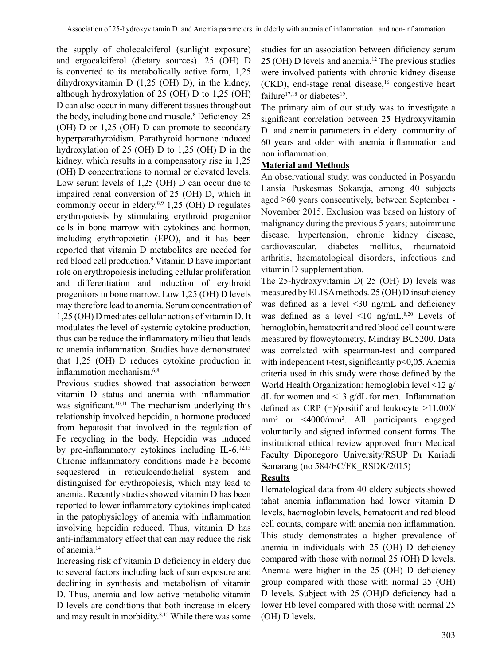the supply of cholecalciferol (sunlight exposure) and ergocalciferol (dietary sources). 25 (OH) D is converted to its metabolically active form, 1,25 dihydroxyvitamin D (1,25 (OH) D), in the kidney, although hydroxylation of 25 (OH) D to 1,25 (OH) D can also occur in many different tissues throughout the body, including bone and muscle.<sup>8</sup> Deficiency 25 (OH) D or 1,25 (OH) D can promote to secondary hyperparathyroidism. Parathyroid hormone induced hydroxylation of 25 (OH) D to 1,25 (OH) D in the kidney, which results in a compensatory rise in 1,25 (OH) D concentrations to normal or elevated levels. Low serum levels of 1,25 (OH) D can occur due to impaired renal conversion of 25 (OH) D, which in commonly occur in eldery. $8,9$  1,25 (OH) D regulates erythropoiesis by stimulating erythroid progenitor cells in bone marrow with cytokines and hormon, including erythropoietin (EPO), and it has been reported that vitamin D metabolites are needed for red blood cell production.<sup>9</sup> Vitamin D have important role on erythropoiesis including cellular proliferation and differentiation and induction of erythroid progenitors in bone marrow. Low 1,25 (OH) D levels may therefore lead to anemia. Serum concentration of 1,25 (OH) D mediates cellular actions of vitamin D. It modulates the level of systemic cytokine production, thus can be reduce the inflammatory milieu that leads to anemia inflammation. Studies have demonstrated that 1,25 (OH) D reduces cytokine production in inflammation mechanism.6,8

Previous studies showed that association between vitamin D status and anemia with inflammation was significant. $10,11$  The mechanism underlying this relationship involved hepcidin, a hormone produced from hepatosit that involved in the regulation of Fe recycling in the body. Hepcidin was induced by pro-inflammatory cytokines including IL-6.<sup>12,13</sup> Chronic inflammatory conditions made Fe become sequestered in reticuloendothelial system and distinguised for erythropoiesis, which may lead to anemia. Recently studies showed vitamin D has been reported to lower inflammatory cytokines implicated in the patophysiology of anemia with inflammation involving hepcidin reduced. Thus, vitamin D has anti-inflammatory effect that can may reduce the risk of anemia.<sup>14</sup>

Increasing risk of vitamin D deficiency in eldery due to several factors including lack of sun exposure and declining in synthesis and metabolism of vitamin D. Thus, anemia and low active metabolic vitamin D levels are conditions that both increase in eldery and may result in morbidity.<sup>8,15</sup> While there was some

studies for an association between dificiency serum  $25$  (OH) D levels and anemia.<sup>12</sup> The previous studies were involved patients with chronic kidney disease  $(CKD)$ , end-stage renal disease,<sup>16</sup> congestive heart failure<sup>17,18</sup> or diabetes<sup>19</sup>.

The primary aim of our study was to investigate a significant correlation between 25 Hydroxyvitamin D and anemia parameters in eldery community of 60 years and older with anemia inflammation and non inflammation.

## **Material and Methods**

An observational study, was conducted in Posyandu Lansia Puskesmas Sokaraja, among 40 subjects aged ≥60 years consecutively, between September - November 2015. Exclusion was based on history of malignancy during the previous 5 years; autoimmune disease, hypertension, chronic kidney disease, cardiovascular, diabetes mellitus, rheumatoid arthritis, haematological disorders, infectious and vitamin D supplementation.

The 25-hydroxyvitamin D( 25 (OH) D) levels was measured by ELISAmethods. 25 (OH) D insuficiency was defined as a level <30 ng/mL and deficiency was defined as a level  $\leq 10$  ng/mL.<sup>8,20</sup> Levels of hemoglobin, hematocrit and red blood cell count were measured by flowcytometry, Mindray BC5200. Data was correlated with spearman-test and compared with independent t-test, significantly  $p<0,05$ . Anemia criteria used in this study were those defined by the World Health Organization: hemoglobin level <12 g/ dL for women and <13 g/dL for men.. Inflammation defined as CRP (+)/positif and leukocyte >11.000/ mm<sup>3</sup> or <4000/mm<sup>3</sup>. All participants engaged voluntarily and signed informed consent forms. The institutional ethical review approved from Medical Faculty Diponegoro University/RSUP Dr Kariadi Semarang (no 584/EC/FK\_RSDK/2015)

## **Results**

Hematological data from 40 eldery subjects.showed tahat anemia inflammation had lower vitamin D levels, haemoglobin levels, hematocrit and red blood cell counts, compare with anemia non inflammation. This study demonstrates a higher prevalence of anemia in individuals with 25 (OH) D deficiency compared with those with normal 25 (OH) D levels. Anemia were higher in the 25 (OH) D deficiency group compared with those with normal 25 (OH) D levels. Subject with 25 (OH)D deficiency had a lower Hb level compared with those with normal 25 (OH) D levels.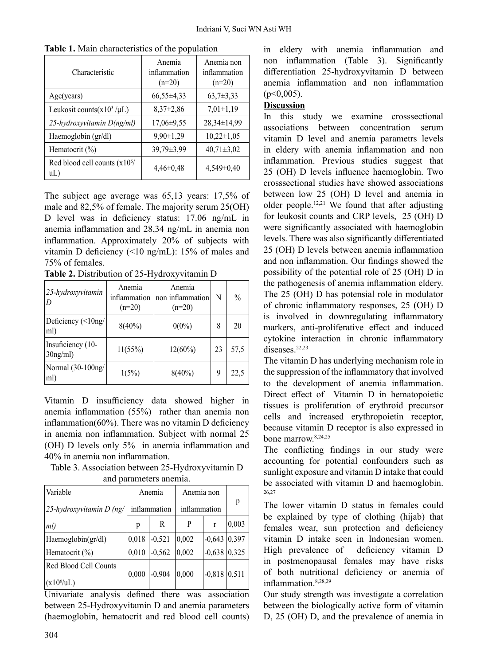| Characteristic                         | Anemia<br>inflammation<br>$(n=20)$ | Anemia non<br>inflammation<br>$(n=20)$ |
|----------------------------------------|------------------------------------|----------------------------------------|
| Age(years)                             | $66,55\pm4,33$                     | $63,7\pm3,33$                          |
| Leukosit counts $(x10^3 / \mu L)$      | $8,37\pm2,86$                      | $7,01\pm1,19$                          |
| 25-hydroxyvitamin D(ng/ml)             | $17,06\pm9,55$                     | $28,34\pm 14,99$                       |
| Haemoglobin (gr/dl)                    | $9,90 \pm 1,29$                    | $10,22 \pm 1,05$                       |
| Hematocrit $(\% )$                     | 39,79±3,99                         | $40,71 \pm 3,02$                       |
| Red blood cell counts $(x10^6)$<br>uL) | $4,46\pm0,48$                      | $4,549\pm0,40$                         |

**Table 1.** Main characteristics of the population

The subject age average was 65,13 years: 17,5% of male and 82,5% of female. The majority serum 25(OH) D level was in deficiency status: 17.06 ng/mL in anemia inflammation and 28,34 ng/mL in anemia non inflammation. Approximately 20% of subjects with vitamin D deficiency (<10 ng/mL): 15% of males and 75% of females.

**Table 2.** Distribution of 25-Hydroxyvitamin D

| 25-hydroxyvitamin<br>D           | Anemia<br>inflammation<br>$(n=20)$ | Anemia<br>non inflammation<br>$(n=20)$ | N  | $\frac{0}{0}$ |
|----------------------------------|------------------------------------|----------------------------------------|----|---------------|
| Deficiency (<10ng/<br>ml)        | $8(40\%)$                          | $0(0\%)$                               | 8  | 20            |
| Insuficiency (10-<br>$30$ ng/ml) | 11(55%)                            | $12(60\%)$                             | 23 | 57,5          |
| Normal (30-100ng/<br>ml)         | 1(5%)                              | $8(40\%)$                              | 9  | 22,5          |

Vitamin D insufficiency data showed higher in anemia inflammation (55%) rather than anemia non inflammation(60%). There was no vitamin D deficiency in anemia non inflammation. Subject with normal 25 (OH) D levels only 5% in anemia inflammation and 40% in anemia non inflammation.

Table 3. Association between 25-Hydroxyvitamin D and parameters anemia.

| Variable                                        | Anemia       |          | Anemia non   |              |       |  |  |
|-------------------------------------------------|--------------|----------|--------------|--------------|-------|--|--|
| $25$ -hydroxyvitamin D (ng/                     | inflammation |          | inflammation |              | р     |  |  |
| $ ml\rangle$                                    | p            | R        | P            | $\mathbf{r}$ | 0,003 |  |  |
| Haemoglobin(gr/dl)                              | 0,018        | $-0,521$ | 0,002        | $-0,643$     | 0,397 |  |  |
| Hematocrit (%)                                  | 0,010        | $-0,562$ | 0.002        | $-0,638$     | 0,325 |  |  |
| Red Blood Cell Counts<br>(x10 <sup>6</sup> /uL) | 0,000        | $-0,904$ | 0,000        | $-0,818$     | 0.511 |  |  |

Univariate analysis defined there was association between 25-Hydroxyvitamin D and anemia parameters (haemoglobin, hematocrit and red blood cell counts) in eldery with anemia inflammation and non inflammation (Table 3). Significantly differentiation 25-hydroxyvitamin D between anemia inflammation and non inflammation  $(p<0,005)$ .

### **Discussion**

In this study we examine crosssectional associations between concentration serum vitamin D level and anemia parametrs levels in eldery with anemia inflammation and non inflammation. Previous studies suggest that 25 (OH) D levels influence haemoglobin. Two crosssectional studies have showed associations between low 25 (OH) D level and anemia in older people.<sup>12,21</sup> We found that after adjusting for leukosit counts and CRP levels, 25 (OH) D were significantly associated with haemoglobin levels. There was also significantly differentiated 25 (OH) D levels between anemia inflammation and non inflammation. Our findings showed the possibility of the potential role of 25 (OH) D in the pathogenesis of anemia inflammation eldery. The 25 (OH) D has potensial role in modulator of chronic inflammatory responses, 25 (OH) D is involved in downregulating inflammatory markers, anti-proliferative effect and induced cytokine interaction in chronic inflammatory diseases.<sup>22,23</sup>

The vitamin D has underlying mechanism role in the suppression of the inflammatory that involved to the development of anemia inflammation. Direct effect of Vitamin D in hematopoietic tissues is proliferation of erythroid precursor cells and increased erythropoietin receptor, because vitamin D receptor is also expressed in bone marrow.8,24,25

The conflicting findings in our study were accounting for potential confounders such as sunlight exposure and vitamin D intake that could be associated with vitamin D and haemoglobin. 26,27

The lower vitamin D status in females could be explained by type of clothing (hijab) that females wear, sun protection and deficiency vitamin D intake seen in Indonesian women. High prevalence of deficiency vitamin D in postmenopausal females may have risks of both nutritional deficiency or anemia of inflammation.8,28,29

Our study strength was investigate a correlation between the biologically active form of vitamin D, 25 (OH) D, and the prevalence of anemia in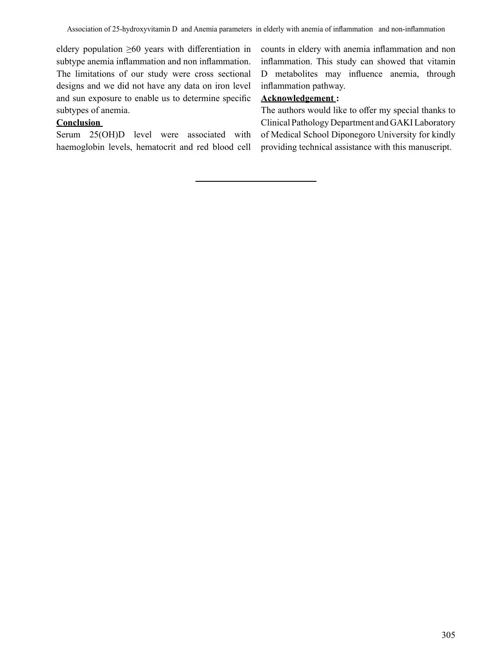eldery population  $\geq 60$  years with differentiation in subtype anemia inflammation and non inflammation. The limitations of our study were cross sectional designs and we did not have any data on iron level and sun exposure to enable us to determine specific subtypes of anemia.

### **Conclusion**

Serum 25(OH)D level were associated with haemoglobin levels, hematocrit and red blood cell counts in eldery with anemia inflammation and non inflammation. This study can showed that vitamin D metabolites may influence anemia, through inflammation pathway.

# **Acknowledgement :**

The authors would like to offer my special thanks to Clinical Pathology Department and GAKI Laboratory of Medical School Diponegoro University for kindly providing technical assistance with this manuscript.